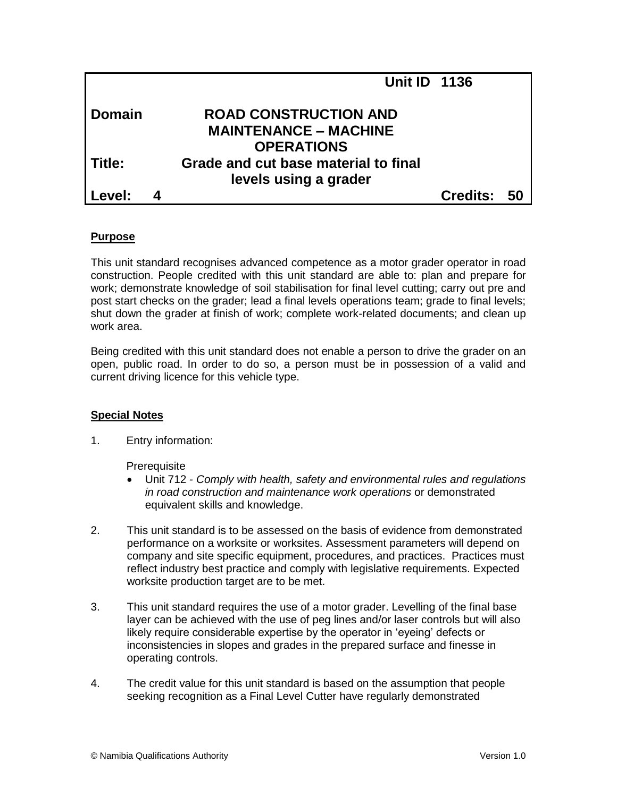|               |   | <b>Unit ID 1136</b>                                                               |          |    |
|---------------|---|-----------------------------------------------------------------------------------|----------|----|
| <b>Domain</b> |   | <b>ROAD CONSTRUCTION AND</b><br><b>MAINTENANCE – MACHINE</b><br><b>OPERATIONS</b> |          |    |
| Title:        |   | Grade and cut base material to final<br>levels using a grader                     |          |    |
| Level:        | 4 |                                                                                   | Credits: | 50 |

## **Purpose**

This unit standard recognises advanced competence as a motor grader operator in road construction. People credited with this unit standard are able to: plan and prepare for work; demonstrate knowledge of soil stabilisation for final level cutting; carry out pre and post start checks on the grader; lead a final levels operations team; grade to final levels; shut down the grader at finish of work; complete work-related documents; and clean up work area.

Being credited with this unit standard does not enable a person to drive the grader on an open, public road. In order to do so, a person must be in possession of a valid and current driving licence for this vehicle type.

# **Special Notes**

1. Entry information:

**Prerequisite** 

- Unit 712 *Comply with health, safety and environmental rules and regulations in road construction and maintenance work operations* or demonstrated equivalent skills and knowledge.
- 2. This unit standard is to be assessed on the basis of evidence from demonstrated performance on a worksite or worksites. Assessment parameters will depend on company and site specific equipment, procedures, and practices. Practices must reflect industry best practice and comply with legislative requirements. Expected worksite production target are to be met.
- 3. This unit standard requires the use of a motor grader. Levelling of the final base layer can be achieved with the use of peg lines and/or laser controls but will also likely require considerable expertise by the operator in 'eyeing' defects or inconsistencies in slopes and grades in the prepared surface and finesse in operating controls.
- 4. The credit value for this unit standard is based on the assumption that people seeking recognition as a Final Level Cutter have regularly demonstrated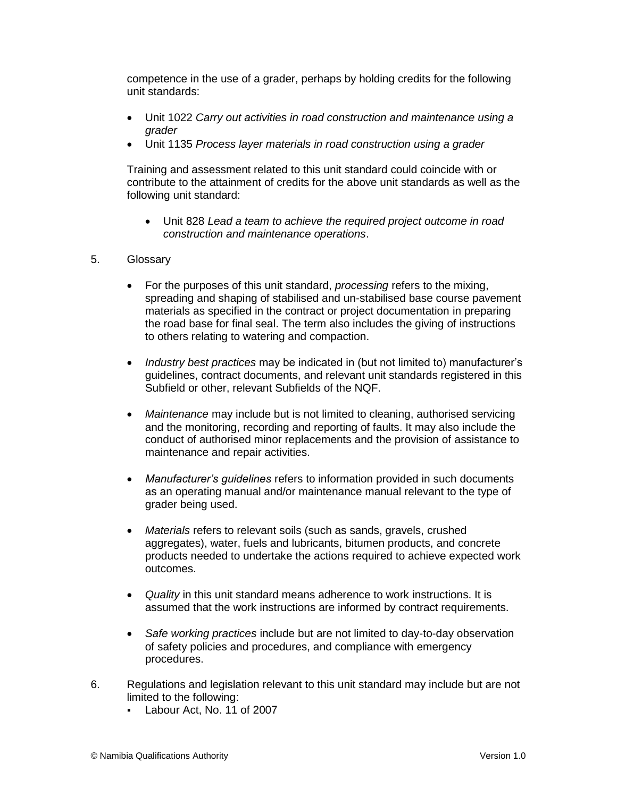competence in the use of a grader, perhaps by holding credits for the following unit standards:

- Unit 1022 *Carry out activities in road construction and maintenance using a grader*
- Unit 1135 *Process layer materials in road construction using a grader*

Training and assessment related to this unit standard could coincide with or contribute to the attainment of credits for the above unit standards as well as the following unit standard:

- Unit 828 *Lead a team to achieve the required project outcome in road construction and maintenance operations*.
- 5. Glossary
	- For the purposes of this unit standard, *processing* refers to the mixing, spreading and shaping of stabilised and un-stabilised base course pavement materials as specified in the contract or project documentation in preparing the road base for final seal. The term also includes the giving of instructions to others relating to watering and compaction.
	- *Industry best practices* may be indicated in (but not limited to) manufacturer's guidelines, contract documents, and relevant unit standards registered in this Subfield or other, relevant Subfields of the NQF.
	- *Maintenance* may include but is not limited to cleaning, authorised servicing and the monitoring, recording and reporting of faults. It may also include the conduct of authorised minor replacements and the provision of assistance to maintenance and repair activities.
	- *Manufacturer's guidelines* refers to information provided in such documents as an operating manual and/or maintenance manual relevant to the type of grader being used.
	- *Materials* refers to relevant soils (such as sands, gravels, crushed aggregates), water, fuels and lubricants, bitumen products, and concrete products needed to undertake the actions required to achieve expected work outcomes.
	- *Quality* in this unit standard means adherence to work instructions. It is assumed that the work instructions are informed by contract requirements.
	- *Safe working practices* include but are not limited to day-to-day observation of safety policies and procedures, and compliance with emergency procedures.
- 6. Regulations and legislation relevant to this unit standard may include but are not limited to the following:
	- Labour Act, No. 11 of 2007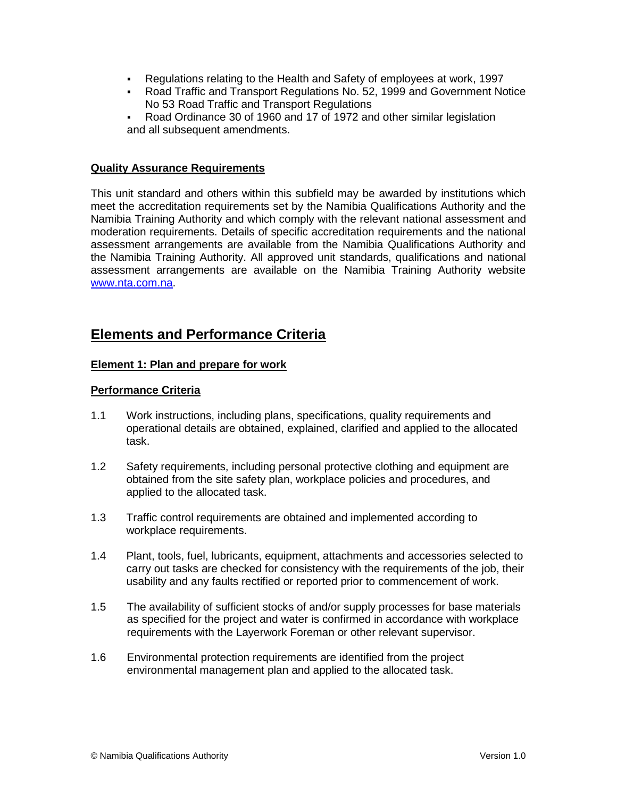- Regulations relating to the Health and Safety of employees at work, 1997<br>Road Traffic and Transport Regulations No. 52, 1999 and Government No.
- Road Traffic and Transport Regulations No. 52, 1999 and Government Notice No 53 Road Traffic and Transport Regulations
- Road Ordinance 30 of 1960 and 17 of 1972 and other similar legislation and all subsequent amendments.

## **Quality Assurance Requirements**

This unit standard and others within this subfield may be awarded by institutions which meet the accreditation requirements set by the Namibia Qualifications Authority and the Namibia Training Authority and which comply with the relevant national assessment and moderation requirements. Details of specific accreditation requirements and the national assessment arrangements are available from the Namibia Qualifications Authority and the Namibia Training Authority. All approved unit standards, qualifications and national assessment arrangements are available on the Namibia Training Authority website [www.nta.com.na.](http://www.nta.com.na/)

# **Elements and Performance Criteria**

## **Element 1: Plan and prepare for work**

## **Performance Criteria**

- 1.1 Work instructions, including plans, specifications, quality requirements and operational details are obtained, explained, clarified and applied to the allocated task.
- 1.2 Safety requirements, including personal protective clothing and equipment are obtained from the site safety plan, workplace policies and procedures, and applied to the allocated task.
- 1.3 Traffic control requirements are obtained and implemented according to workplace requirements.
- 1.4 Plant, tools, fuel, lubricants, equipment, attachments and accessories selected to carry out tasks are checked for consistency with the requirements of the job, their usability and any faults rectified or reported prior to commencement of work.
- 1.5 The availability of sufficient stocks of and/or supply processes for base materials as specified for the project and water is confirmed in accordance with workplace requirements with the Layerwork Foreman or other relevant supervisor.
- 1.6 Environmental protection requirements are identified from the project environmental management plan and applied to the allocated task.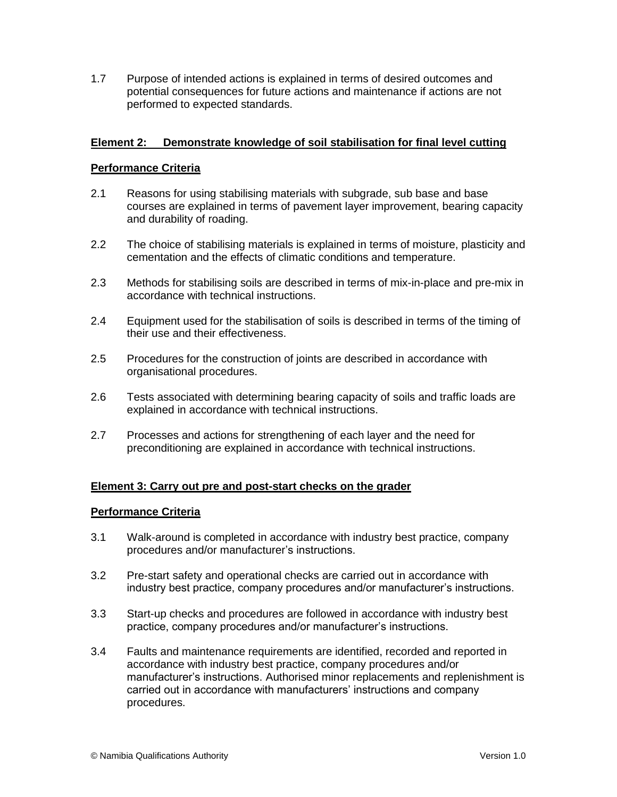1.7 Purpose of intended actions is explained in terms of desired outcomes and potential consequences for future actions and maintenance if actions are not performed to expected standards.

## **Element 2: Demonstrate knowledge of soil stabilisation for final level cutting**

## **Performance Criteria**

- 2.1 Reasons for using stabilising materials with subgrade, sub base and base courses are explained in terms of pavement layer improvement, bearing capacity and durability of roading.
- 2.2 The choice of stabilising materials is explained in terms of moisture, plasticity and cementation and the effects of climatic conditions and temperature.
- 2.3 Methods for stabilising soils are described in terms of mix-in-place and pre-mix in accordance with technical instructions.
- 2.4 Equipment used for the stabilisation of soils is described in terms of the timing of their use and their effectiveness.
- 2.5 Procedures for the construction of joints are described in accordance with organisational procedures.
- 2.6 Tests associated with determining bearing capacity of soils and traffic loads are explained in accordance with technical instructions.
- 2.7 Processes and actions for strengthening of each layer and the need for preconditioning are explained in accordance with technical instructions.

# **Element 3: Carry out pre and post-start checks on the grader**

## **Performance Criteria**

- 3.1 Walk-around is completed in accordance with industry best practice, company procedures and/or manufacturer's instructions.
- 3.2 Pre-start safety and operational checks are carried out in accordance with industry best practice, company procedures and/or manufacturer's instructions.
- 3.3 Start-up checks and procedures are followed in accordance with industry best practice, company procedures and/or manufacturer's instructions.
- 3.4 Faults and maintenance requirements are identified, recorded and reported in accordance with industry best practice, company procedures and/or manufacturer's instructions. Authorised minor replacements and replenishment is carried out in accordance with manufacturers' instructions and company procedures.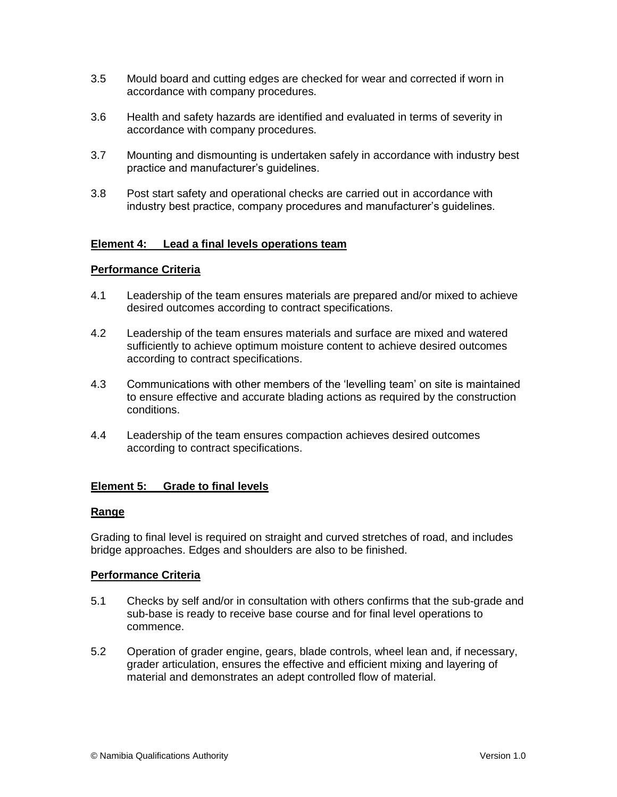- 3.5 Mould board and cutting edges are checked for wear and corrected if worn in accordance with company procedures.
- 3.6 Health and safety hazards are identified and evaluated in terms of severity in accordance with company procedures.
- 3.7 Mounting and dismounting is undertaken safely in accordance with industry best practice and manufacturer's guidelines.
- 3.8 Post start safety and operational checks are carried out in accordance with industry best practice, company procedures and manufacturer's guidelines.

## **Element 4: Lead a final levels operations team**

## **Performance Criteria**

- 4.1 Leadership of the team ensures materials are prepared and/or mixed to achieve desired outcomes according to contract specifications.
- 4.2 Leadership of the team ensures materials and surface are mixed and watered sufficiently to achieve optimum moisture content to achieve desired outcomes according to contract specifications.
- 4.3 Communications with other members of the 'levelling team' on site is maintained to ensure effective and accurate blading actions as required by the construction conditions.
- 4.4 Leadership of the team ensures compaction achieves desired outcomes according to contract specifications.

# **Element 5: Grade to final levels**

## **Range**

Grading to final level is required on straight and curved stretches of road, and includes bridge approaches. Edges and shoulders are also to be finished.

## **Performance Criteria**

- 5.1 Checks by self and/or in consultation with others confirms that the sub-grade and sub-base is ready to receive base course and for final level operations to commence.
- 5.2 Operation of grader engine, gears, blade controls, wheel lean and, if necessary, grader articulation, ensures the effective and efficient mixing and layering of material and demonstrates an adept controlled flow of material.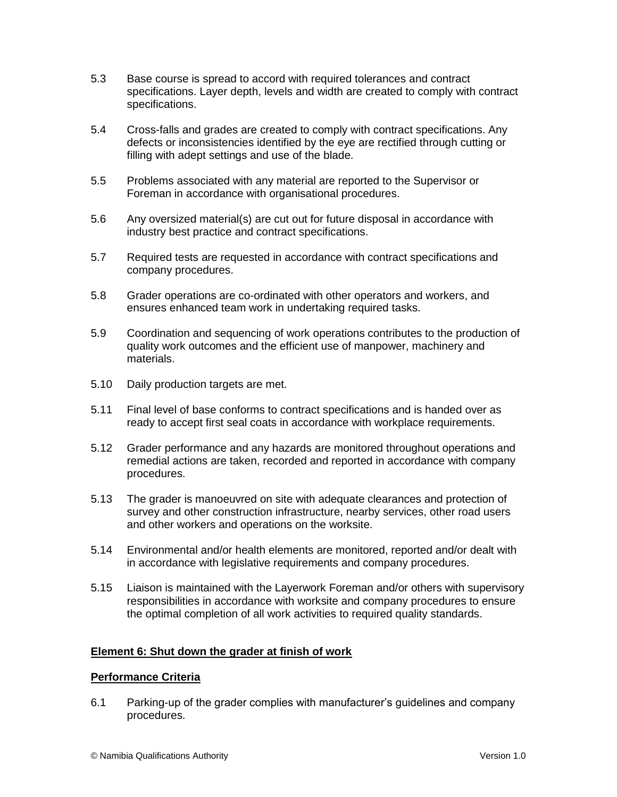- 5.3 Base course is spread to accord with required tolerances and contract specifications. Layer depth, levels and width are created to comply with contract specifications.
- 5.4 Cross-falls and grades are created to comply with contract specifications. Any defects or inconsistencies identified by the eye are rectified through cutting or filling with adept settings and use of the blade.
- 5.5 Problems associated with any material are reported to the Supervisor or Foreman in accordance with organisational procedures.
- 5.6 Any oversized material(s) are cut out for future disposal in accordance with industry best practice and contract specifications.
- 5.7 Required tests are requested in accordance with contract specifications and company procedures.
- 5.8 Grader operations are co-ordinated with other operators and workers, and ensures enhanced team work in undertaking required tasks.
- 5.9 Coordination and sequencing of work operations contributes to the production of quality work outcomes and the efficient use of manpower, machinery and materials.
- 5.10 Daily production targets are met.
- 5.11 Final level of base conforms to contract specifications and is handed over as ready to accept first seal coats in accordance with workplace requirements.
- 5.12 Grader performance and any hazards are monitored throughout operations and remedial actions are taken, recorded and reported in accordance with company procedures.
- 5.13 The grader is manoeuvred on site with adequate clearances and protection of survey and other construction infrastructure, nearby services, other road users and other workers and operations on the worksite.
- 5.14 Environmental and/or health elements are monitored, reported and/or dealt with in accordance with legislative requirements and company procedures.
- 5.15 Liaison is maintained with the Layerwork Foreman and/or others with supervisory responsibilities in accordance with worksite and company procedures to ensure the optimal completion of all work activities to required quality standards.

# **Element 6: Shut down the grader at finish of work**

## **Performance Criteria**

6.1 Parking-up of the grader complies with manufacturer's guidelines and company procedures.